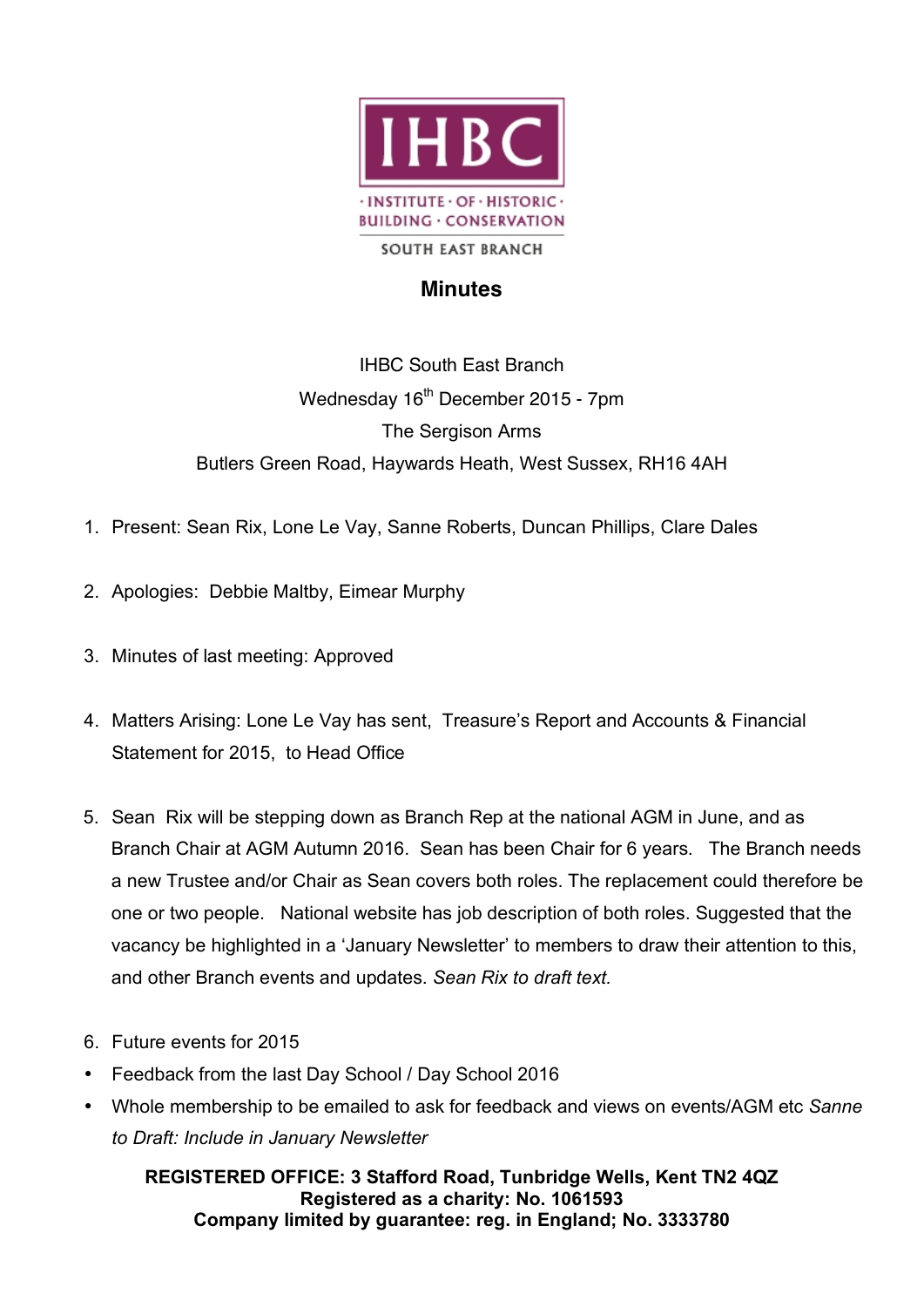

## **Minutes**

IHBC South East Branch Wednesday  $16<sup>th</sup>$  December 2015 - 7pm The Sergison Arms Butlers Green Road, Haywards Heath, West Sussex, RH16 4AH

- 1. Present: Sean Rix, Lone Le Vay, Sanne Roberts, Duncan Phillips, Clare Dales
- 2. Apologies: Debbie Maltby, Eimear Murphy
- 3. Minutes of last meeting: Approved
- 4. Matters Arising: Lone Le Vay has sent, Treasure's Report and Accounts & Financial Statement for 2015, to Head Office
- 5. Sean Rix will be stepping down as Branch Rep at the national AGM in June, and as Branch Chair at AGM Autumn 2016. Sean has been Chair for 6 years. The Branch needs a new Trustee and/or Chair as Sean covers both roles. The replacement could therefore be one or two people. National website has job description of both roles. Suggested that the vacancy be highlighted in a 'January Newsletter' to members to draw their attention to this, and other Branch events and updates. *Sean Rix to draft text.*
- 6. Future events for 2015
- Feedback from the last Day School / Day School 2016
- Whole membership to be emailed to ask for feedback and views on events/AGM etc *Sanne to Draft: Include in January Newsletter*

**REGISTERED OFFICE: 3 Stafford Road, Tunbridge Wells, Kent TN2 4QZ Registered as a charity: No. 1061593 Company limited by guarantee: reg. in England; No. 3333780**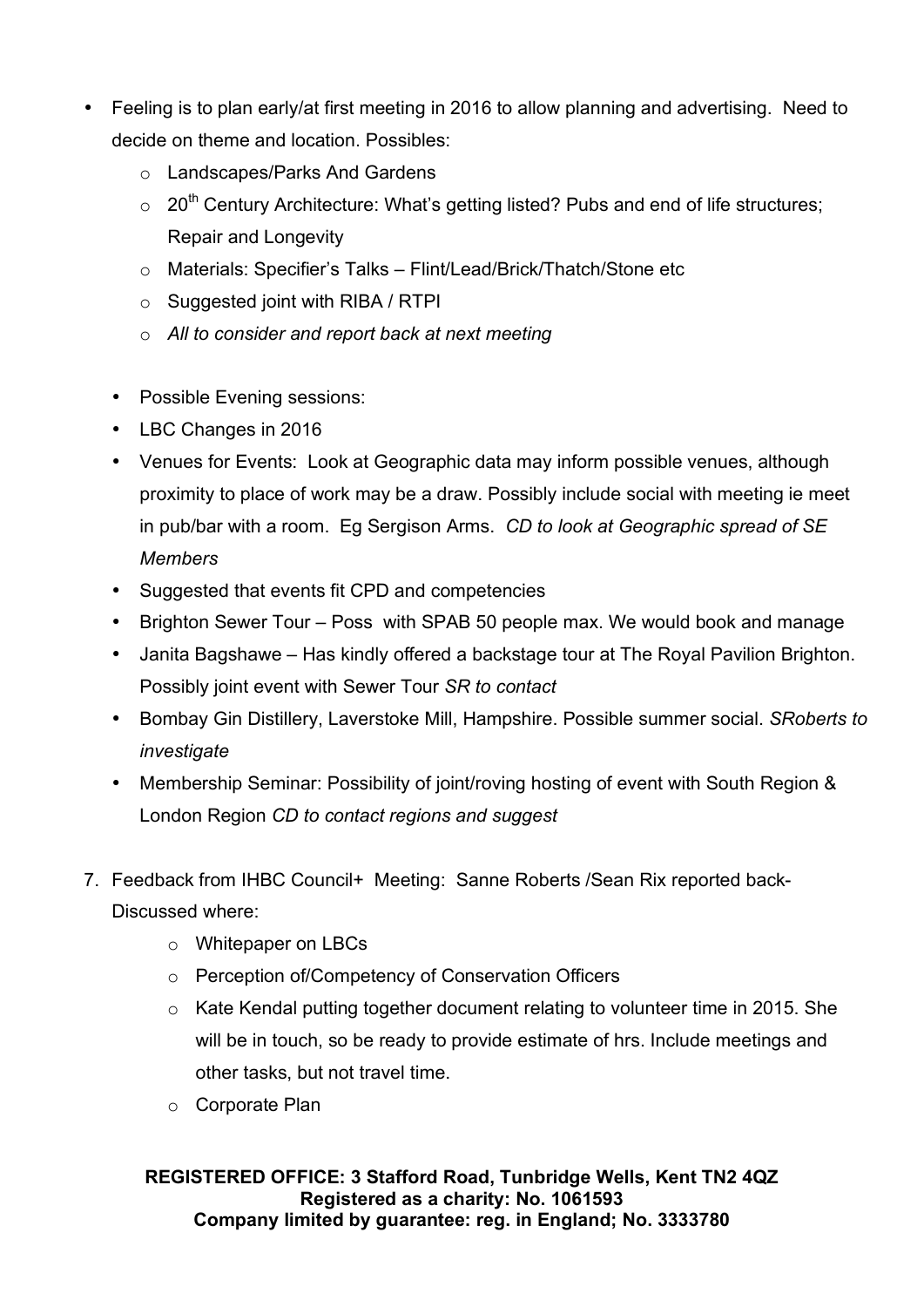- Feeling is to plan early/at first meeting in 2016 to allow planning and advertising. Need to decide on theme and location. Possibles:
	- o Landscapes/Parks And Gardens
	- $\circ$  20<sup>th</sup> Century Architecture: What's getting listed? Pubs and end of life structures; Repair and Longevity
	- o Materials: Specifier's Talks Flint/Lead/Brick/Thatch/Stone etc
	- $\circ$  Suggested joint with RIBA / RTPI
	- o *All to consider and report back at next meeting*
	- Possible Evening sessions:
	- LBC Changes in 2016
	- Venues for Events: Look at Geographic data may inform possible venues, although proximity to place of work may be a draw. Possibly include social with meeting ie meet in pub/bar with a room. Eg Sergison Arms. *CD to look at Geographic spread of SE Members*
	- Suggested that events fit CPD and competencies
	- Brighton Sewer Tour Poss with SPAB 50 people max. We would book and manage
	- Janita Bagshawe Has kindly offered a backstage tour at The Royal Pavilion Brighton. Possibly joint event with Sewer Tour *SR to contact*
	- Bombay Gin Distillery, Laverstoke Mill, Hampshire. Possible summer social. *SRoberts to investigate*
	- Membership Seminar: Possibility of joint/roving hosting of event with South Region & London Region *CD to contact regions and suggest*
- 7. Feedback from IHBC Council+ Meeting: Sanne Roberts /Sean Rix reported back-Discussed where:
	- o Whitepaper on LBCs
	- o Perception of/Competency of Conservation Officers
	- o Kate Kendal putting together document relating to volunteer time in 2015. She will be in touch, so be ready to provide estimate of hrs. Include meetings and other tasks, but not travel time.
	- o Corporate Plan

## **REGISTERED OFFICE: 3 Stafford Road, Tunbridge Wells, Kent TN2 4QZ Registered as a charity: No. 1061593 Company limited by guarantee: reg. in England; No. 3333780**